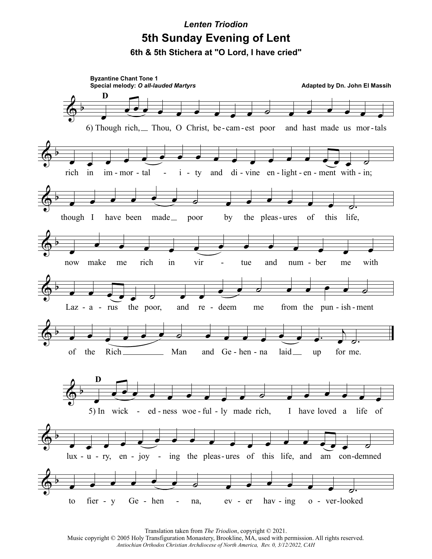## **Lenten Triodion** 5th Sunday Evening of Lent 6th & 5th Stichera at "O Lord, I have cried"



Translation taken from The Triodion, copyright © 2021.

Music copyright © 2005 Holy Transfiguration Monastery, Brookline, MA, used with permission. All rights reserved. Antiochian Orthodox Christian Archdiocese of North America, Rev. 0, 3/12/2022, CAH